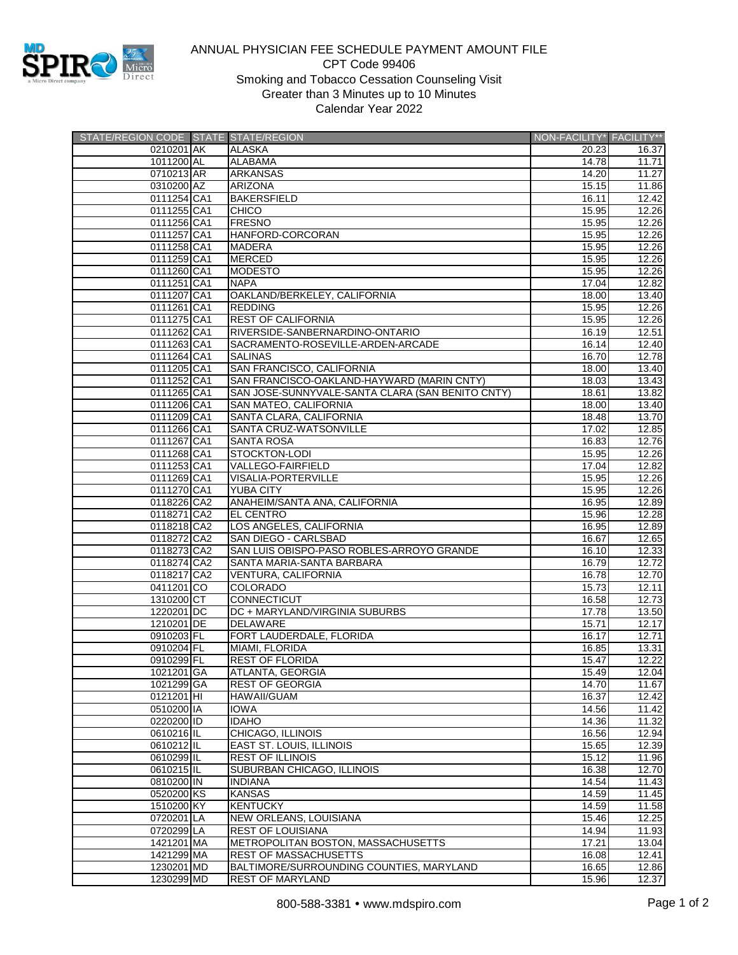

## ANNUAL PHYSICIAN FEE SCHEDULE PAYMENT AMOUNT FILE CPT Code 99406 Smoking and Tobacco Cessation Counseling Visit Greater than 3 Minutes up to 10 Minutes Calendar Year 2022

| STATE/REGION CODE STATE STATE/REGION |                                                  | NON-FACILITY* FACILITY** |                    |
|--------------------------------------|--------------------------------------------------|--------------------------|--------------------|
| 0210201 AK                           | <b>ALASKA</b>                                    | 20.23                    | 16.37              |
| 1011200 AL                           | <b>ALABAMA</b>                                   | 14.78                    | 11.71              |
| 0710213 AR                           | <b>ARKANSAS</b>                                  | 14.20                    | 11.27              |
| 0310200 AZ                           | <b>ARIZONA</b>                                   | 15.15                    | 11.86              |
| 0111254 CA1                          | <b>BAKERSFIELD</b>                               | 16.11                    | 12.42              |
| 0111255 CA1                          | <b>CHICO</b>                                     | 15.95                    | 12.26              |
| 0111256 CA1                          | <b>FRESNO</b>                                    | 15.95                    | 12.26              |
| 0111257 CA1                          | HANFORD-CORCORAN                                 | 15.95                    | 12.26              |
| 0111258 CA1                          | <b>MADERA</b>                                    | 15.95                    | 12.26              |
| 0111259 CA1                          | <b>MERCED</b>                                    | 15.95                    | 12.26              |
| 0111260 CA1                          | <b>MODESTO</b>                                   | 15.95                    | 12.26              |
| 0111251 CA1                          | <b>NAPA</b>                                      | 17.04                    | 12.82              |
| 0111207 CA1                          | OAKLAND/BERKELEY, CALIFORNIA                     | 18.00                    | 13.40              |
| 0111261 CA1                          | <b>REDDING</b>                                   | 15.95                    | 12.26              |
| 0111275 CA1                          | <b>REST OF CALIFORNIA</b>                        | 15.95                    | 12.26              |
| 0111262 CA1                          | RIVERSIDE-SANBERNARDINO-ONTARIO                  | 16.19                    | 12.51              |
| 0111263 CA1                          | SACRAMENTO-ROSEVILLE-ARDEN-ARCADE                | 16.14                    | 12.40              |
| 0111264 CA1                          | <b>SALINAS</b>                                   | 16.70                    | 12.78              |
| 0111205 CA1                          | SAN FRANCISCO, CALIFORNIA                        | 18.00                    | 13.40              |
| 0111252 CA1                          | SAN FRANCISCO-OAKLAND-HAYWARD (MARIN CNTY)       | 18.03                    | 13.43              |
| 0111265 CA1                          | SAN JOSE-SUNNYVALE-SANTA CLARA (SAN BENITO CNTY) | 18.61                    | 13.82              |
| 0111206 CA1                          | SAN MATEO, CALIFORNIA                            | 18.00                    | 13.40              |
| 0111209 CA1                          | SANTA CLARA, CALIFORNIA                          | 18.48                    | 13.70              |
| 0111266 CA1                          | SANTA CRUZ-WATSONVILLE                           | 17.02                    | 12.85              |
| 0111267 CA1                          | <b>SANTA ROSA</b>                                | 16.83                    | 12.76              |
| 0111268 CA1                          | <b>STOCKTON-LODI</b>                             | 15.95                    | 12.26              |
| 0111253 CA1                          | <b>VALLEGO-FAIRFIELD</b>                         | 17.04                    | 12.82              |
| 0111269 CA1                          | <b>VISALIA-PORTERVILLE</b>                       | 15.95                    | 12.26              |
| 0111270 CA1                          | <b>YUBA CITY</b>                                 | 15.95                    | 12.26              |
| 0118226 CA2                          | ANAHEIM/SANTA ANA, CALIFORNIA                    | 16.95                    | 12.89              |
| 0118271 CA2                          | <b>EL CENTRO</b>                                 | 15.96                    | 12.28              |
| 0118218 CA2                          | LOS ANGELES, CALIFORNIA                          | 16.95                    | 12.89              |
| 0118272 CA2                          | SAN DIEGO - CARLSBAD                             | 16.67                    | 12.65              |
| 0118273 CA2                          | SAN LUIS OBISPO-PASO ROBLES-ARROYO GRANDE        | 16.10                    | 12.33              |
| 0118274 CA2                          | SANTA MARIA-SANTA BARBARA                        | 16.79                    | 12.72              |
| 0118217 CA2                          | VENTURA, CALIFORNIA                              | 16.78                    | 12.70              |
| 0411201 CO                           | <b>COLORADO</b>                                  | 15.73                    | 12.11              |
| 1310200 CT                           | <b>CONNECTICUT</b>                               | 16.58                    | $\overline{12.73}$ |
| 1220201 DC                           | DC + MARYLAND/VIRGINIA SUBURBS                   | 17.78                    | 13.50              |
| 1210201 DE                           | <b>DELAWARE</b>                                  | 15.71                    | 12.17              |
| 0910203 FL                           | FORT LAUDERDALE, FLORIDA                         | 16.17                    | 12.71              |
| 0910204 FL                           | MIAMI, FLORIDA                                   | 16.85                    | 13.31              |
| 0910299 FL                           | <b>REST OF FLORIDA</b>                           | 15.47                    | 12.22              |
| 1021201 GA                           | <b>ATLANTA, GEORGIA</b>                          | 15.49                    | 12.04              |
| 1021299 GA                           | <b>REST OF GEORGIA</b>                           | 14.70                    | 11.67              |
| 0121201 HI                           | <b>HAWAII/GUAM</b>                               | 16.37                    | 12.42              |
| 0510200 IA                           | <b>IOWA</b>                                      | 14.56                    | 11.42              |
| 0220200 ID                           | <b>IDAHO</b>                                     | 14.36                    | 11.32              |
| 0610216 IL                           | CHICAGO, ILLINOIS                                | 16.56                    | 12.94              |
| 0610212 IL                           | <b>EAST ST. LOUIS, ILLINOIS</b>                  | 15.65                    | 12.39              |
| 0610299 IL                           | <b>REST OF ILLINOIS</b>                          | 15.12                    | 11.96              |
| 0610215 IL                           | SUBURBAN CHICAGO, ILLINOIS                       | 16.38                    | 12.70              |
| 0810200 IN                           | <b>INDIANA</b>                                   | 14.54                    | 11.43              |
| 0520200 KS                           | <b>KANSAS</b>                                    | 14.59                    | 11.45              |
| 1510200 KY                           | <b>KENTUCKY</b>                                  | 14.59                    | 11.58              |
| 0720201 LA                           | <b>NEW ORLEANS, LOUISIANA</b>                    | 15.46                    | 12.25              |
| 0720299 LA                           | <b>REST OF LOUISIANA</b>                         | 14.94                    | 11.93              |
| 1421201 MA                           | METROPOLITAN BOSTON, MASSACHUSETTS               | 17.21                    | 13.04              |
| 1421299 MA                           | <b>REST OF MASSACHUSETTS</b>                     | 16.08                    | 12.41              |
| 1230201 MD                           | BALTIMORE/SURROUNDING COUNTIES, MARYLAND         | 16.65                    | 12.86              |
| 1230299 MD                           | <b>REST OF MARYLAND</b>                          | 15.96                    | 12.37              |
|                                      |                                                  |                          |                    |